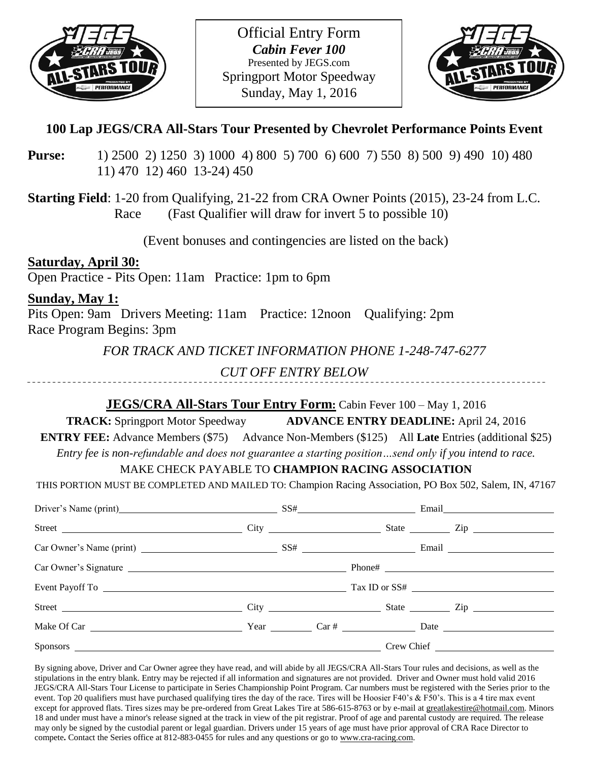



# **100 Lap JEGS/CRA All-Stars Tour Presented by Chevrolet Performance Points Event**

- **Purse:** 1) 2500 2) 1250 3) 1000 4) 800 5) 700 6) 600 7) 550 8) 500 9) 490 10) 480 11) 470 12) 460 13-24) 450
- **Starting Field**: 1-20 from Qualifying, 21-22 from CRA Owner Points (2015), 23-24 from L.C. Race (Fast Qualifier will draw for invert 5 to possible 10)

(Event bonuses and contingencies are listed on the back)

**Saturday, April 30:** Open Practice - Pits Open: 11am Practice: 1pm to 6pm

**Sunday, May 1:**

Pits Open: 9am Drivers Meeting: 11am Practice: 12noon Qualifying: 2pm Race Program Begins: 3pm

*FOR TRACK AND TICKET INFORMATION PHONE 1-248-747-6277*

*CUT OFF ENTRY BELOW*

# **JEGS/CRA All-Stars Tour Entry Form:** Cabin Fever 100 – May 1, 2016

**TRACK:** Springport Motor Speedway **ADVANCE ENTRY DEADLINE:** April 24, 2016

**ENTRY FEE:** Advance Members (\$75) Advance Non-Members (\$125) All Late Entries (additional \$25)

*Entry fee is non-refundable and does not guarantee a starting position…send only if you intend to race.*

# MAKE CHECK PAYABLE TO **CHAMPION RACING ASSOCIATION**

THIS PORTION MUST BE COMPLETED AND MAILED TO: Champion Racing Association, PO Box 502, Salem, IN, 47167

| Driver's Name (print) SS# Email Email |  |  |  |
|---------------------------------------|--|--|--|
|                                       |  |  |  |
|                                       |  |  |  |
|                                       |  |  |  |
|                                       |  |  |  |
|                                       |  |  |  |
|                                       |  |  |  |
|                                       |  |  |  |

By signing above, Driver and Car Owner agree they have read, and will abide by all JEGS/CRA All-Stars Tour rules and decisions, as well as the stipulations in the entry blank. Entry may be rejected if all information and signatures are not provided. Driver and Owner must hold valid 2016 JEGS/CRA All-Stars Tour License to participate in Series Championship Point Program. Car numbers must be registered with the Series prior to the event. Top 20 qualifiers must have purchased qualifying tires the day of the race. Tires will be Hoosier F40's & F50's. This is a 4 tire max event except for approved flats. Tires sizes may be pre-ordered from Great Lakes Tire at 586-615-8763 or by e-mail a[t greatlakestire@hotmail.com.](mailto:greatlakestire@hotmail.com) Minors 18 and under must have a minor's release signed at the track in view of the pit registrar. Proof of age and parental custody are required. The release may only be signed by the custodial parent or legal guardian. Drivers under 15 years of age must have prior approval of CRA Race Director to compete**.** Contact the Series office at 812-883-0455 for rules and any questions or go t[o www.cra-racing.com.](http://www.cra-racing.com/)